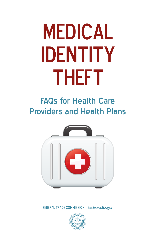# **MEDICAL** Identity theft

## FAQs for Health Care Providers and Health Plans



FEDERAL TRADE COMMISSION | business.ftc.gov

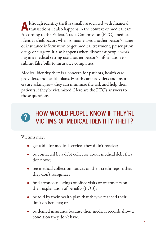Although identity theft is usually associated with financial transactions, it also happens in the context of medical care. According to the Federal Trade Commission (FTC), medical identity theft occurs when someone uses another person's name or insurance information to get medical treatment, prescription drugs or surgery. It also happens when dishonest people working in a medical setting use another person's information to submit false bills to insurance companies.

Medical identity theft is a concern for patients, health care providers, and health plans. Health care providers and insurers are asking how they can minimize the risk and help their patients if they're victimized. Here are the FTC's answers to those questions.



## How would people know if they're victims of medical identity theft?

Victims may:

- get a bill for medical services they didn't receive;
- be contacted by a debt collector about medical debt they don't owe;
- see medical collection notices on their credit report that they don't recognize;
- find erroneous listings of office visits or treatments on their explanation of benefits (EOB);
- be told by their health plan that they've reached their limit on benefits; or
- $\bullet$  be denied insurance because their medical records show a condition they don't have.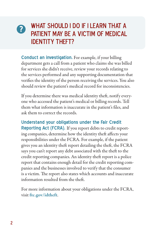#### WHAT SHOULD I DO IF I LEARN THAT A patient may be a victim of medical **IDENTITY THEFT? ?**

**Conduct an investigation.** For example, if your billing department gets a call from a patient who claims she was billed for services she didn't receive, review your records relating to the services performed and any supporting documentation that verifies the identity of the person receiving the services. You also should review the patient's medical record for inconsistencies.

If you determine there was medical identity theft, notify everyone who accessed the patient's medical or billing records. Tell them what information is inaccurate in the patient's files, and ask them to correct the records.

**Understand your obligations under the Fair Credit Reporting Act (FCRA).** If you report debts to credit reporting companies, determine how the identity theft affects your responsibilities under the FCRA. For example, if the patient gives you an identity theft report detailing the theft, the FCRA says you can't report any debt associated with the theft to the credit reporting companies. An identity theft report is a police report that contains enough detail for the credit reporting companies and the businesses involved to verify that the consumer is a victim. The report also states which accounts and inaccurate information resulted from the theft.

For more information about your obligations under the FCRA, visit ftc.gov/idtheft.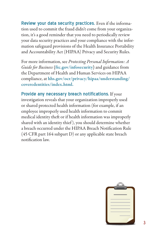**Review your data security practices.** Even if the information used to commit the fraud didn't come from your organization, it's a good reminder that you need to periodically review your data security practices and your compliance with the information safeguard provisions of the Health Insurance Portability and Accountability Act (HIPAA) Privacy and Security Rules.

For more information, see *Protecting Personal Information: A Guide for Business* **(**ftc.gov/infosecurity**)** and guidance from the Department of Health and Human Services on HIPAA compliance, at hhs.gov/ocr/privacy/hipaa/understanding/ coveredentities/index.html.

**Provide any necessary breach notifications.** If your investigation reveals that your organization improperly used or shared protected health information (for example, if an employee improperly used health information to commit medical identity theft or if health information was improperly shared with an identity thief ), you should determine whether a breach occurred under the HIPAA Breach Notification Rule (45 CFR part 164 subpart D) or any applicable state breach notification law.

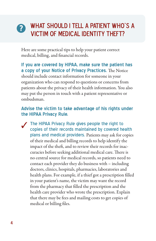## **?** What should I tell a patient who's a victim of medical identity theft?

Here are some practical tips to help your patient correct medical, billing, and financial records.

**If you are covered by HIPAA, make sure the patient has a copy of your Notice of Privacy Practices.** The Notice should include contact information for someone in your organization who can respond to questions or concerns from patients about the privacy of their health information. You also may put the person in touch with a patient representative or ombudsman.

#### **Advise the victim to take advantage of his rights under the HIPAA Privacy Rule.**

The HIPAA Privacy Rule gives people the right to copies of their records maintained by covered health plans and medical providers. Patients may ask for copies of their medical and billing records to help identify the impact of the theft, and to review their records for inaccuracies before seeking additional medical care. There is no central source for medical records, so patients need to contact each provider they do business with – including doctors, clinics, hospitals, pharmacies, laboratories and health plans. For example, if a thief got a prescription filled in your patient's name, the victim may want the record from the pharmacy that filled the prescription and the health care provider who wrote the prescription. Explain that there may be fees and mailing costs to get copies of medical or billing files. ✓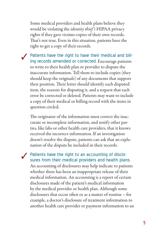Some medical providers and health plans believe they would be violating the *identity thief 's* HIPAA privacy rights if they gave victims copies of their own records. That's not true. Even in this situation, patients have the right to get a copy of their records.

Patients have the right to have their medical and bill-<br>ing records amended or corrected. Encourage patients to write to their health plan or provider to dispute the inaccurate information. Tell them to include copies (they should keep the originals) of any documents that support their position. Their letter should identify each disputed item, the reasons for disputing it, and a request that each error be corrected or deleted. Patients may want to include a copy of their medical or billing record with the items in question circled. ✓

The originator of the information must correct the inaccurate or incomplete information, and notify other parties, like labs or other health care providers, that it knows received the incorrect information. If an investigation doesn't resolve the dispute, patients can ask that an explanation of the dispute be included in their records.

**◆** Patients have the right to an accounting of disclosures from their medical providers and health plans.

An accounting of disclosures may help indicate to patients whether there has been an inappropriate release of their medical information. An accounting is a report of certain disclosures made of the patient's medical information by the medical provider or health plan. Although some disclosures that occur often or as a matter of routine – for example, a doctor's disclosure of treatment information to another health care provider or payment information to an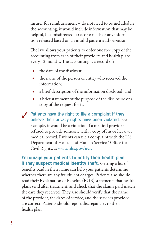insurer for reimbursement – do not need to be included in the accounting, it would include information that may be helpful, like misdirected faxes or e-mails or any information released based on an invalid patient authorization.

The law allows your patients to order one free copy of the accounting from each of their providers and health plans every 12 months. The accounting is a record of:

- the date of the disclosure:
- the name of the person or entity who received the information;
- a brief description of the information disclosed; and
- a brief statement of the purpose of the disclosure or a copy of the request for it.

✔ Patients have the right to file a complaint if they believe their primery rights have been violated. 下 believe their privacy rights have been violated. For example, it would be a violation if a medical provider refused to provide someone with a copy of his or her own medical record. Patients can file a complaint with the U.S. Department of Health and Human Services' Office for Civil Rights, at www.hhs.gov/ocr.

**Encourage your patients to notify their health plan if they suspect medical identity theft.** Getting a list of benefits paid in their name can help your patients determine whether there are any fraudulent charges. Patients also should read their Explanation of Benefits (EOB) statements that health plans send after treatment, and check that the claims paid match the care they received. They also should verify that the name of the provider, the dates of service, and the services provided are correct. Patients should report discrepancies to their health plan.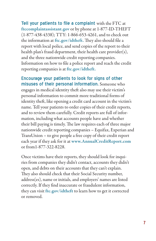**Tell your patients to file a complaint** with the FTC at ftccomplaintassistant.gov or by phone at 1-877-ID-THEFT (1-877-438-4338); TTY: 1-866-653-4261, and to check out the information at ftc.gov/idtheft. They also should file a report with local police, and send copies of the report to their health plan's fraud department, their health care provider(s), and the three nationwide credit reporting companies. Information on how to file a police report and reach the credit reporting companies is at ftc.gov/idtheft.

**Encourage your patients to look for signs of other misuses of their personal information.** Someone who engages in medical identity theft also may use their victim's personal information to commit more traditional forms of identity theft, like opening a credit card account in the victim's name. Tell your patients to order copies of their credit reports, and to review them carefully. Credit reports are full of information, including what accounts people have and whether their bill paying is timely. The law requires each of three major nationwide credit reporting companies – Equifax, Experian and TransUnion – to give people a free copy of their credit report each year if they ask for it at www.AnnualCreditReport.com or from1-877-322-8228.

Once victims have their reports, they should look for inquiries from companies they didn't contact, accounts they didn't open, and debts on their accounts that they can't explain. They also should check that their Social Security number, address(es), name or initials, and employers' names are listed correctly. If they find inaccurate or fraudulent information, they can visit ftc.gov/idtheft to learn how to get it corrected or removed.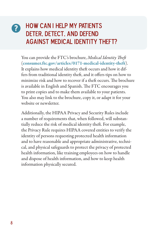## **?** How can I help my patients deter, detect, and defend against medical identity theft?

You can provide the FTC's brochure, *Medical Identity Theft* ([consumer.ftc.gov/articles/0171-medical-identity-theft](http://www.consumer.ftc.gov/articles/0171-medical-identity-theft)). It explains how medical identity theft occurs and how it differs from traditional identity theft, and it offers tips on how to minimize risk and how to recover if a theft occurs. The brochure is available in English and Spanish. The FTC encourages you to print copies and to make them available to your patients. You also may link to the brochure, copy it, or adapt it for your website or newsletter.

Additionally, the HIPAA Privacy and Security Rules include a number of requirements that, when followed, will substantially reduce the risk of medical identity theft. For example, the Privacy Rule requires HIPAA covered entities to verify the identity of persons requesting protected health information and to have reasonable and appropriate administrative, technical, and physical safeguards to protect the privacy of protected health information, like training employees on how to handle and dispose of health information, and how to keep health information physically secured.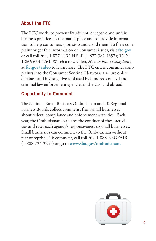#### **About the FTC**

The FTC works to prevent fraudulent, deceptive and unfair business practices in the marketplace and to provide information to help consumers spot, stop and avoid them. To file a complaint or get free information on consumer issues, visit ftc.gov or call toll-free, 1-877-FTC-HELP (1-877-382-4357); TTY: 1-866-653-4261. Watch a new video, *How to File a Complaint,* at ftc.gov/video to learn more. The FTC enters consumer complaints into the Consumer Sentinel Network, a secure online database and investigative tool used by hundreds of civil and criminal law enforcement agencies in the U.S. and abroad.

### **Opportunity to Comment**

The National Small Business Ombudsman and 10 Regional Fairness Boards collect comments from small businesses about federal compliance and enforcement activities. Each year, the Ombudsman evaluates the conduct of these activities and rates each agency's responsiveness to small businesses. Small businesses can comment to the Ombudsman without fear of reprisal. To comment, call toll-free 1-888-REGFAIR (1-888-734-3247) or go to [www.sba.gov/ombudsman.](http://www.sba.gov/ombudsman)